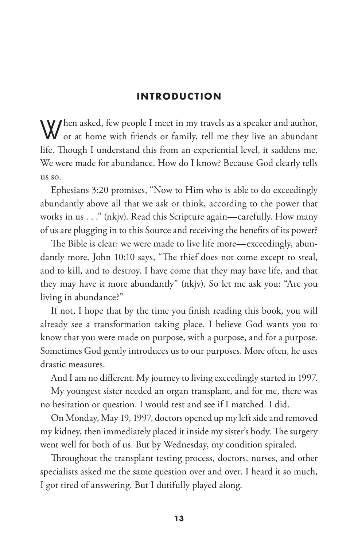When asked, few people I meet in my travels as a speaker and author,<br>or at home with friends or family, tell me they live an abundant life. Though I understand this from an experiential level, it saddens me. We were made for abundance. How do I know? Because God clearly tells us so.

Ephesians 3:20 promises, "Now to Him who is able to do exceedingly abundantly above all that we ask or think, according to the power that works in us . . ." (nkjv). Read this Scripture again—carefully. How many of us are plugging in to this Source and receiving the benefits of its power?

The Bible is clear: we were made to live life more—exceedingly, abundantly more. John 10:10 says, "The thief does not come except to steal, and to kill, and to destroy. I have come that they may have life, and that they may have it more abundantly" (nkjv). So let me ask you: "Are you living in abundance?"

If not, I hope that by the time you finish reading this book, you will already see a transformation taking place. I believe God wants you to know that you were made on purpose, with a purpose, and for a purpose. Sometimes God gently introduces us to our purposes. More often, he uses drastic measures.

And I am no different. My journey to living exceedingly started in 1997.

My youngest sister needed an organ transplant, and for me, there was no hesitation or question. I would test and see if I matched. I did.

On Monday, May 19, 1997, doctors opened up my left side and removed my kidney, then immediately placed it inside my sister's body. The surgery went well for both of us. But by Wednesday, my condition spiraled.

Throughout the transplant testing process, doctors, nurses, and other specialists asked me the same question over and over. I heard it so much, I got tired of answering. But I dutifully played along.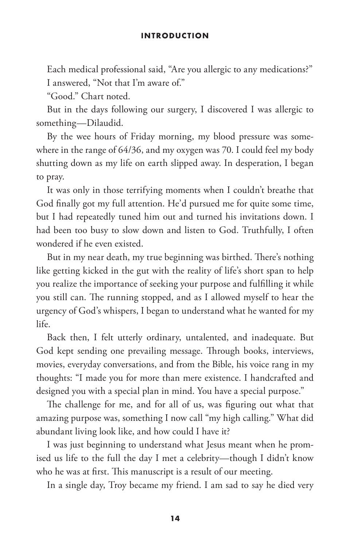Each medical professional said, "Are you allergic to any medications?" I answered, "Not that I'm aware of."

"Good." Chart noted.

But in the days following our surgery, I discovered I was allergic to something—Dilaudid.

By the wee hours of Friday morning, my blood pressure was somewhere in the range of 64/36, and my oxygen was 70. I could feel my body shutting down as my life on earth slipped away. In desperation, I began to pray.

It was only in those terrifying moments when I couldn't breathe that God finally got my full attention. He'd pursued me for quite some time, but I had repeatedly tuned him out and turned his invitations down. I had been too busy to slow down and listen to God. Truthfully, I often wondered if he even existed.

But in my near death, my true beginning was birthed. There's nothing like getting kicked in the gut with the reality of life's short span to help you realize the importance of seeking your purpose and fulfilling it while you still can. The running stopped, and as I allowed myself to hear the urgency of God's whispers, I began to understand what he wanted for my life.

Back then, I felt utterly ordinary, untalented, and inadequate. But God kept sending one prevailing message. Through books, interviews, movies, everyday conversations, and from the Bible, his voice rang in my thoughts: "I made you for more than mere existence. I handcrafted and designed you with a special plan in mind. You have a special purpose."

The challenge for me, and for all of us, was figuring out what that amazing purpose was, something I now call "my high calling." What did abundant living look like, and how could I have it?

I was just beginning to understand what Jesus meant when he promised us life to the full the day I met a celebrity—though I didn't know who he was at first. This manuscript is a result of our meeting.

In a single day, Troy became my friend. I am sad to say he died very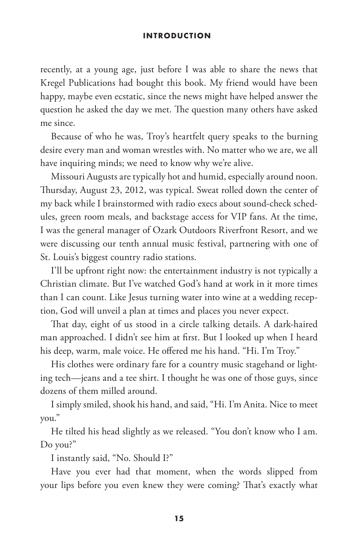recently, at a young age, just before I was able to share the news that Kregel Publications had bought this book. My friend would have been happy, maybe even ecstatic, since the news might have helped answer the question he asked the day we met. The question many others have asked me since.

Because of who he was, Troy's heartfelt query speaks to the burning desire every man and woman wrestles with. No matter who we are, we all have inquiring minds; we need to know why we're alive.

Missouri Augusts are typically hot and humid, especially around noon. Thursday, August 23, 2012, was typical. Sweat rolled down the center of my back while I brainstormed with radio execs about sound-check schedules, green room meals, and backstage access for VIP fans. At the time, I was the general manager of Ozark Outdoors Riverfront Resort, and we were discussing our tenth annual music festival, partnering with one of St. Louis's biggest country radio stations.

I'll be upfront right now: the entertainment industry is not typically a Christian climate. But I've watched God's hand at work in it more times than I can count. Like Jesus turning water into wine at a wedding reception, God will unveil a plan at times and places you never expect.

That day, eight of us stood in a circle talking details. A dark-haired man approached. I didn't see him at first. But I looked up when I heard his deep, warm, male voice. He offered me his hand. "Hi. I'm Troy."

His clothes were ordinary fare for a country music stagehand or lighting tech—jeans and a tee shirt. I thought he was one of those guys, since dozens of them milled around.

I simply smiled, shook his hand, and said, "Hi. I'm Anita. Nice to meet you."

He tilted his head slightly as we released. "You don't know who I am. Do you?"

I instantly said, "No. Should I?"

Have you ever had that moment, when the words slipped from your lips before you even knew they were coming? That's exactly what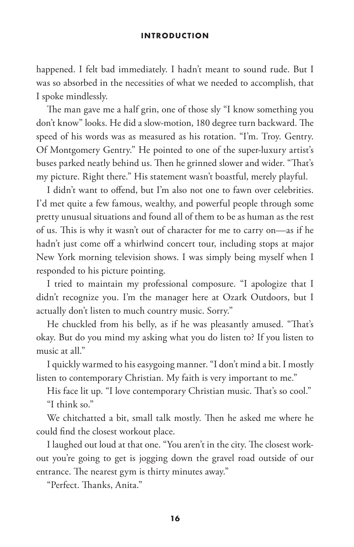happened. I felt bad immediately. I hadn't meant to sound rude. But I was so absorbed in the necessities of what we needed to accomplish, that I spoke mindlessly.

The man gave me a half grin, one of those sly "I know something you don't know" looks. He did a slow-motion, 180 degree turn backward. The speed of his words was as measured as his rotation. "I'm. Troy. Gentry. Of Montgomery Gentry." He pointed to one of the super-luxury artist's buses parked neatly behind us. Then he grinned slower and wider. "That's my picture. Right there." His statement wasn't boastful, merely playful.

I didn't want to offend, but I'm also not one to fawn over celebrities. I'd met quite a few famous, wealthy, and powerful people through some pretty unusual situations and found all of them to be as human as the rest of us. This is why it wasn't out of character for me to carry on—as if he hadn't just come off a whirlwind concert tour, including stops at major New York morning television shows. I was simply being myself when I responded to his picture pointing.

I tried to maintain my professional composure. "I apologize that I didn't recognize you. I'm the manager here at Ozark Outdoors, but I actually don't listen to much country music. Sorry."

He chuckled from his belly, as if he was pleasantly amused. "That's okay. But do you mind my asking what you do listen to? If you listen to music at all."

I quickly warmed to his easygoing manner. "I don't mind a bit. I mostly listen to contemporary Christian. My faith is very important to me."

His face lit up. "I love contemporary Christian music. That's so cool." "I think so."

We chitchatted a bit, small talk mostly. Then he asked me where he could find the closest workout place.

I laughed out loud at that one. "You aren't in the city. The closest workout you're going to get is jogging down the gravel road outside of our entrance. The nearest gym is thirty minutes away."

"Perfect. Thanks, Anita."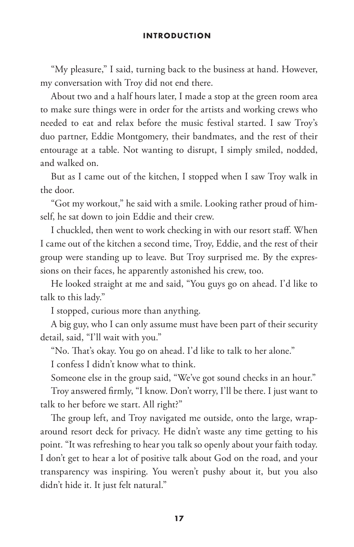"My pleasure," I said, turning back to the business at hand. However, my conversation with Troy did not end there.

About two and a half hours later, I made a stop at the green room area to make sure things were in order for the artists and working crews who needed to eat and relax before the music festival started. I saw Troy's duo partner, Eddie Montgomery, their bandmates, and the rest of their entourage at a table. Not wanting to disrupt, I simply smiled, nodded, and walked on.

But as I came out of the kitchen, I stopped when I saw Troy walk in the door.

"Got my workout," he said with a smile. Looking rather proud of himself, he sat down to join Eddie and their crew.

I chuckled, then went to work checking in with our resort staff. When I came out of the kitchen a second time, Troy, Eddie, and the rest of their group were standing up to leave. But Troy surprised me. By the expressions on their faces, he apparently astonished his crew, too.

He looked straight at me and said, "You guys go on ahead. I'd like to talk to this lady."

I stopped, curious more than anything.

A big guy, who I can only assume must have been part of their security detail, said, "I'll wait with you."

"No. That's okay. You go on ahead. I'd like to talk to her alone."

I confess I didn't know what to think.

Someone else in the group said, "We've got sound checks in an hour."

Troy answered firmly, "I know. Don't worry, I'll be there. I just want to talk to her before we start. All right?"

The group left, and Troy navigated me outside, onto the large, wraparound resort deck for privacy. He didn't waste any time getting to his point. "It was refreshing to hear you talk so openly about your faith today. I don't get to hear a lot of positive talk about God on the road, and your transparency was inspiring. You weren't pushy about it, but you also didn't hide it. It just felt natural."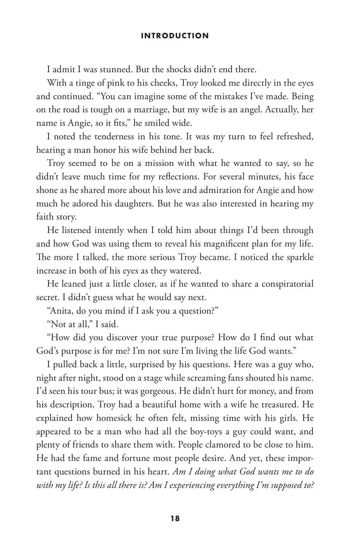I admit I was stunned. But the shocks didn't end there.

With a tinge of pink to his cheeks, Troy looked me directly in the eyes and continued. "You can imagine some of the mistakes I've made. Being on the road is tough on a marriage, but my wife is an angel. Actually, her name is Angie, so it fits," he smiled wide.

I noted the tenderness in his tone. It was my turn to feel refreshed, hearing a man honor his wife behind her back.

Troy seemed to be on a mission with what he wanted to say, so he didn't leave much time for my reflections. For several minutes, his face shone as he shared more about his love and admiration for Angie and how much he adored his daughters. But he was also interested in hearing my faith story.

He listened intently when I told him about things I'd been through and how God was using them to reveal his magnificent plan for my life. The more I talked, the more serious Troy became. I noticed the sparkle increase in both of his eyes as they watered.

He leaned just a little closer, as if he wanted to share a conspiratorial secret. I didn't guess what he would say next.

"Anita, do you mind if I ask you a question?"

"Not at all," I said.

"How did you discover your true purpose? How do I find out what God's purpose is for me? I'm not sure I'm living the life God wants."

I pulled back a little, surprised by his questions. Here was a guy who, night after night, stood on a stage while screaming fans shouted his name. I'd seen his tour bus; it was gorgeous. He didn't hurt for money, and from his description, Troy had a beautiful home with a wife he treasured. He explained how homesick he often felt, missing time with his girls. He appeared to be a man who had all the boy-toys a guy could want, and plenty of friends to share them with. People clamored to be close to him. He had the fame and fortune most people desire. And yet, these important questions burned in his heart. *Am I doing what God wants me to do with my life? Is this all there is? Am I experiencing everything I'm supposed to?*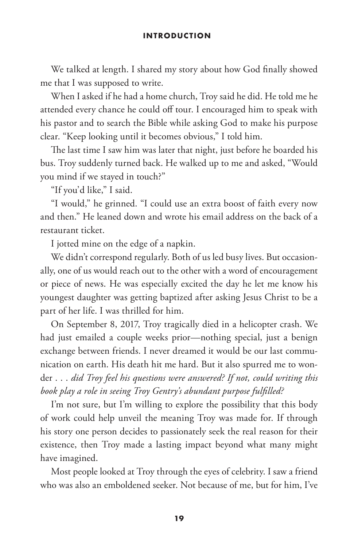We talked at length. I shared my story about how God finally showed me that I was supposed to write.

When I asked if he had a home church, Troy said he did. He told me he attended every chance he could off tour. I encouraged him to speak with his pastor and to search the Bible while asking God to make his purpose clear. "Keep looking until it becomes obvious," I told him.

The last time I saw him was later that night, just before he boarded his bus. Troy suddenly turned back. He walked up to me and asked, "Would you mind if we stayed in touch?"

"If you'd like," I said.

"I would," he grinned. "I could use an extra boost of faith every now and then." He leaned down and wrote his email address on the back of a restaurant ticket.

I jotted mine on the edge of a napkin.

We didn't correspond regularly. Both of us led busy lives. But occasionally, one of us would reach out to the other with a word of encouragement or piece of news. He was especially excited the day he let me know his youngest daughter was getting baptized after asking Jesus Christ to be a part of her life. I was thrilled for him.

On September 8, 2017, Troy tragically died in a helicopter crash. We had just emailed a couple weeks prior—nothing special, just a benign exchange between friends. I never dreamed it would be our last communication on earth. His death hit me hard. But it also spurred me to wonder . . . *did Troy feel his questions were answered? If not, could writing this book play a role in seeing Troy Gentry's abundant purpose fulfilled?*

I'm not sure, but I'm willing to explore the possibility that this body of work could help unveil the meaning Troy was made for. If through his story one person decides to passionately seek the real reason for their existence, then Troy made a lasting impact beyond what many might have imagined.

Most people looked at Troy through the eyes of celebrity. I saw a friend who was also an emboldened seeker. Not because of me, but for him, I've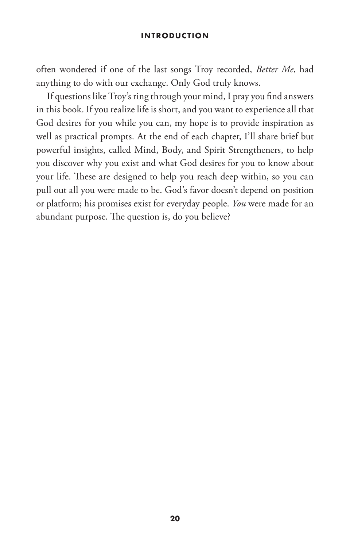often wondered if one of the last songs Troy recorded, *Better Me*, had anything to do with our exchange. Only God truly knows.

If questions like Troy's ring through your mind, I pray you find answers in this book. If you realize life is short, and you want to experience all that God desires for you while you can, my hope is to provide inspiration as well as practical prompts. At the end of each chapter, I'll share brief but powerful insights, called Mind, Body, and Spirit Strengtheners, to help you discover why you exist and what God desires for you to know about your life. These are designed to help you reach deep within, so you can pull out all you were made to be. God's favor doesn't depend on position or platform; his promises exist for everyday people. *You* were made for an abundant purpose. The question is, do you believe?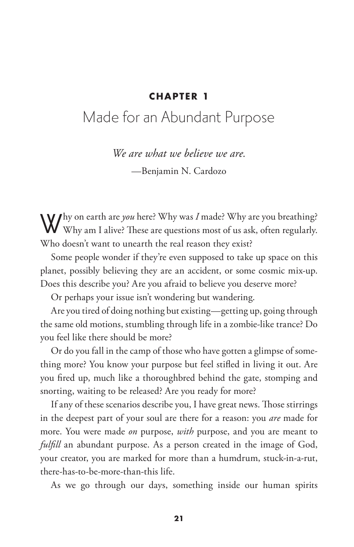# **CHAPTER 1**

# Made for an Abundant Purpose

*We are what we believe we are.*

—Benjamin N. Cardozo

Why on earth are *you* here? Why was *I* made? Why are you breathing?<br>Why am I alive? These are questions most of us ask, often regularly. Who doesn't want to unearth the real reason they exist?

Some people wonder if they're even supposed to take up space on this planet, possibly believing they are an accident, or some cosmic mix-up. Does this describe you? Are you afraid to believe you deserve more?

Or perhaps your issue isn't wondering but wandering.

Are you tired of doing nothing but existing—getting up, going through the same old motions, stumbling through life in a zombie-like trance? Do you feel like there should be more?

Or do you fall in the camp of those who have gotten a glimpse of something more? You know your purpose but feel stifled in living it out. Are you fired up, much like a thoroughbred behind the gate, stomping and snorting, waiting to be released? Are you ready for more?

If any of these scenarios describe you, I have great news. Those stirrings in the deepest part of your soul are there for a reason: you *are* made for more. You were made *on* purpose, *with* purpose, and you are meant to *fulfill* an abundant purpose. As a person created in the image of God, your creator, you are marked for more than a humdrum, stuck-in-a-rut, there-has-to-be-more-than-this life.

As we go through our days, something inside our human spirits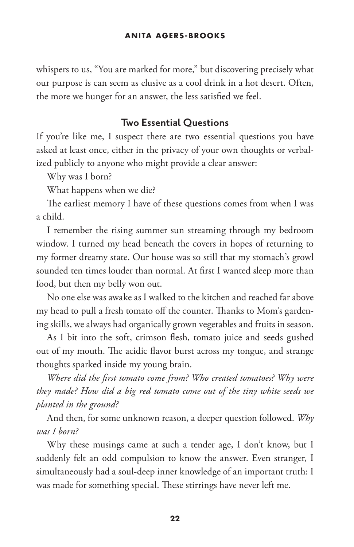whispers to us, "You are marked for more," but discovering precisely what our purpose is can seem as elusive as a cool drink in a hot desert. Often, the more we hunger for an answer, the less satisfied we feel.

# **Two Essential Questions**

If you're like me, I suspect there are two essential questions you have asked at least once, either in the privacy of your own thoughts or verbalized publicly to anyone who might provide a clear answer:

Why was I born?

What happens when we die?

The earliest memory I have of these questions comes from when I was a child.

I remember the rising summer sun streaming through my bedroom window. I turned my head beneath the covers in hopes of returning to my former dreamy state. Our house was so still that my stomach's growl sounded ten times louder than normal. At first I wanted sleep more than food, but then my belly won out.

No one else was awake as I walked to the kitchen and reached far above my head to pull a fresh tomato off the counter. Thanks to Mom's gardening skills, we always had organically grown vegetables and fruits in season.

As I bit into the soft, crimson flesh, tomato juice and seeds gushed out of my mouth. The acidic flavor burst across my tongue, and strange thoughts sparked inside my young brain.

*Where did the first tomato come from? Who created tomatoes? Why were they made? How did a big red tomato come out of the tiny white seeds we planted in the ground?*

And then, for some unknown reason, a deeper question followed. *Why was I born?*

Why these musings came at such a tender age, I don't know, but I suddenly felt an odd compulsion to know the answer. Even stranger, I simultaneously had a soul-deep inner knowledge of an important truth: I was made for something special. These stirrings have never left me.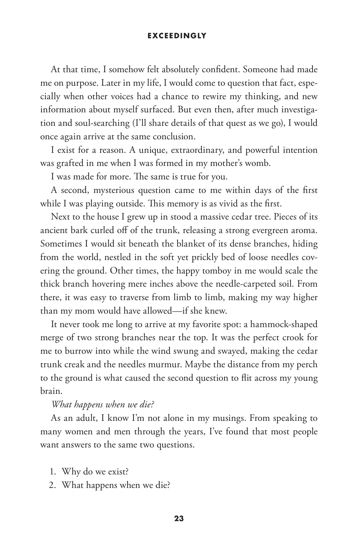## **EXCEEDINGLY**

At that time, I somehow felt absolutely confident. Someone had made me on purpose. Later in my life, I would come to question that fact, especially when other voices had a chance to rewire my thinking, and new information about myself surfaced. But even then, after much investigation and soul-searching (I'll share details of that quest as we go), I would once again arrive at the same conclusion.

I exist for a reason. A unique, extraordinary, and powerful intention was grafted in me when I was formed in my mother's womb.

I was made for more. The same is true for you.

A second, mysterious question came to me within days of the first while I was playing outside. This memory is as vivid as the first.

Next to the house I grew up in stood a massive cedar tree. Pieces of its ancient bark curled off of the trunk, releasing a strong evergreen aroma. Sometimes I would sit beneath the blanket of its dense branches, hiding from the world, nestled in the soft yet prickly bed of loose needles covering the ground. Other times, the happy tomboy in me would scale the thick branch hovering mere inches above the needle-carpeted soil. From there, it was easy to traverse from limb to limb, making my way higher than my mom would have allowed—if she knew.

It never took me long to arrive at my favorite spot: a hammock-shaped merge of two strong branches near the top. It was the perfect crook for me to burrow into while the wind swung and swayed, making the cedar trunk creak and the needles murmur. Maybe the distance from my perch to the ground is what caused the second question to flit across my young brain.

## *What happens when we die?*

As an adult, I know I'm not alone in my musings. From speaking to many women and men through the years, I've found that most people want answers to the same two questions.

- 1. Why do we exist?
- 2. What happens when we die?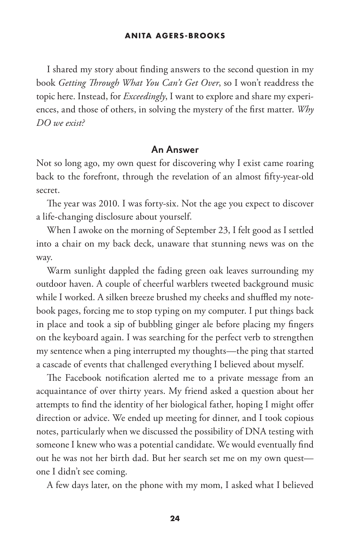## **ANITA AGERS-BROOKS**

I shared my story about finding answers to the second question in my book *Getting Through What You Can't Get Over*, so I won't readdress the topic here. Instead, for *Exceedingly*, I want to explore and share my experiences, and those of others, in solving the mystery of the first matter. *Why DO we exist?*

## **An Answer**

Not so long ago, my own quest for discovering why I exist came roaring back to the forefront, through the revelation of an almost fifty-year-old secret.

The year was 2010. I was forty-six. Not the age you expect to discover a life-changing disclosure about yourself.

When I awoke on the morning of September 23, I felt good as I settled into a chair on my back deck, unaware that stunning news was on the way.

Warm sunlight dappled the fading green oak leaves surrounding my outdoor haven. A couple of cheerful warblers tweeted background music while I worked. A silken breeze brushed my cheeks and shuffled my notebook pages, forcing me to stop typing on my computer. I put things back in place and took a sip of bubbling ginger ale before placing my fingers on the keyboard again. I was searching for the perfect verb to strengthen my sentence when a ping interrupted my thoughts—the ping that started a cascade of events that challenged everything I believed about myself.

The Facebook notification alerted me to a private message from an acquaintance of over thirty years. My friend asked a question about her attempts to find the identity of her biological father, hoping I might offer direction or advice. We ended up meeting for dinner, and I took copious notes, particularly when we discussed the possibility of DNA testing with someone I knew who was a potential candidate. We would eventually find out he was not her birth dad. But her search set me on my own quest one I didn't see coming.

A few days later, on the phone with my mom, I asked what I believed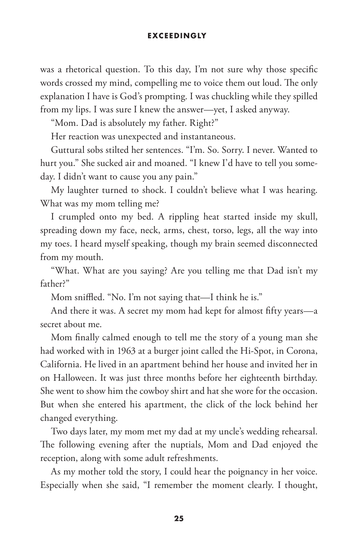## **EXCEEDINGLY**

was a rhetorical question. To this day, I'm not sure why those specific words crossed my mind, compelling me to voice them out loud. The only explanation I have is God's prompting. I was chuckling while they spilled from my lips. I was sure I knew the answer—yet, I asked anyway.

"Mom. Dad is absolutely my father. Right?"

Her reaction was unexpected and instantaneous.

Guttural sobs stilted her sentences. "I'm. So. Sorry. I never. Wanted to hurt you." She sucked air and moaned. "I knew I'd have to tell you someday. I didn't want to cause you any pain."

My laughter turned to shock. I couldn't believe what I was hearing. What was my mom telling me?

I crumpled onto my bed. A rippling heat started inside my skull, spreading down my face, neck, arms, chest, torso, legs, all the way into my toes. I heard myself speaking, though my brain seemed disconnected from my mouth.

"What. What are you saying? Are you telling me that Dad isn't my father?"

Mom sniffled. "No. I'm not saying that—I think he is."

And there it was. A secret my mom had kept for almost fifty years—a secret about me.

Mom finally calmed enough to tell me the story of a young man she had worked with in 1963 at a burger joint called the Hi-Spot, in Corona, California. He lived in an apartment behind her house and invited her in on Halloween. It was just three months before her eighteenth birthday. She went to show him the cowboy shirt and hat she wore for the occasion. But when she entered his apartment, the click of the lock behind her changed everything.

Two days later, my mom met my dad at my uncle's wedding rehearsal. The following evening after the nuptials, Mom and Dad enjoyed the reception, along with some adult refreshments.

As my mother told the story, I could hear the poignancy in her voice. Especially when she said, "I remember the moment clearly. I thought,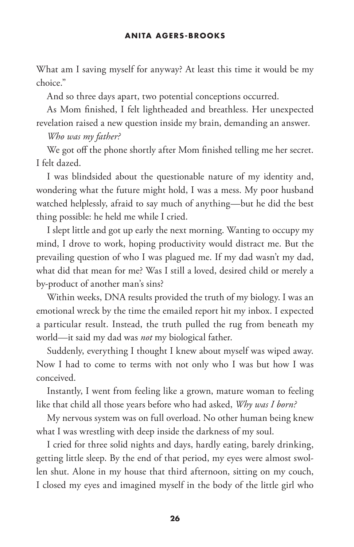What am I saving myself for anyway? At least this time it would be my choice."

And so three days apart, two potential conceptions occurred.

As Mom finished, I felt lightheaded and breathless. Her unexpected revelation raised a new question inside my brain, demanding an answer.

# *Who was my father?*

We got off the phone shortly after Mom finished telling me her secret. I felt dazed.

I was blindsided about the questionable nature of my identity and, wondering what the future might hold, I was a mess. My poor husband watched helplessly, afraid to say much of anything—but he did the best thing possible: he held me while I cried.

I slept little and got up early the next morning. Wanting to occupy my mind, I drove to work, hoping productivity would distract me. But the prevailing question of who I was plagued me. If my dad wasn't my dad, what did that mean for me? Was I still a loved, desired child or merely a by-product of another man's sins?

Within weeks, DNA results provided the truth of my biology. I was an emotional wreck by the time the emailed report hit my inbox. I expected a particular result. Instead, the truth pulled the rug from beneath my world—it said my dad was *not* my biological father.

Suddenly, everything I thought I knew about myself was wiped away. Now I had to come to terms with not only who I was but how I was conceived.

Instantly, I went from feeling like a grown, mature woman to feeling like that child all those years before who had asked, *Why was I born?*

My nervous system was on full overload. No other human being knew what I was wrestling with deep inside the darkness of my soul.

I cried for three solid nights and days, hardly eating, barely drinking, getting little sleep. By the end of that period, my eyes were almost swollen shut. Alone in my house that third afternoon, sitting on my couch, I closed my eyes and imagined myself in the body of the little girl who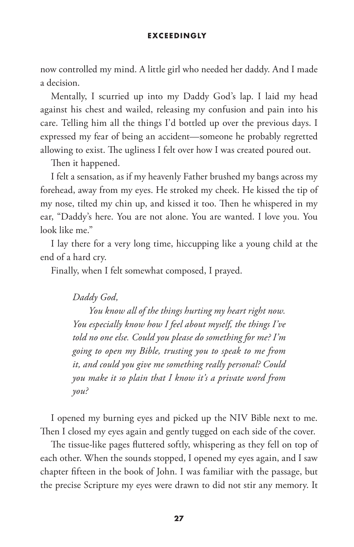#### **EXCEED INGLY**

now controlled my mind. A little girl who needed her daddy. And I made a decision.

Mentally, I scurried up into my Daddy God's lap. I laid my head against his chest and wailed, releasing my confusion and pain into his care. Telling him all the things I'd bottled up over the previous days. I expressed my fear of being an accident—someone he probably regretted allowing to exist. The ugliness I felt over how I was created poured out.

Then it happened.

I felt a sensation, as if my heavenly Father brushed my bangs across my forehead, away from my eyes. He stroked my cheek. He kissed the tip of my nose, tilted my chin up, and kissed it too. Then he whispered in my ear, "Daddy's here. You are not alone. You are wanted. I love you. You look like me."

I lay there for a very long time, hiccupping like a young child at the end of a hard cry.

Finally, when I felt somewhat composed, I prayed.

*Daddy God,*

*You know all of the things hurting my heart right now. You especially know how I feel about myself, the things I've told no one else. Could you please do something for me? I'm going to open my Bible, trusting you to speak to me from it, and could you give me something really personal? Could you make it so plain that I know it's a private word from you?*

I opened my burning eyes and picked up the NIV Bible next to me. Then I closed my eyes again and gently tugged on each side of the cover.

The tissue-like pages fluttered softly, whispering as they fell on top of each other. When the sounds stopped, I opened my eyes again, and I saw chapter fifteen in the book of John. I was familiar with the passage, but the precise Scripture my eyes were drawn to did not stir any memory. It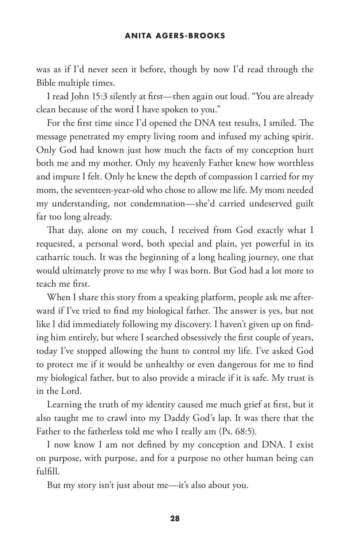was as if I'd never seen it before, though by now I'd read through the Bible multiple times.

I read John 15:3 silently at first—then again out loud. "You are already clean because of the word I have spoken to you."

For the first time since I'd opened the DNA test results, I smiled. The message penetrated my empty living room and infused my aching spirit. Only God had known just how much the facts of my conception hurt both me and my mother. Only my heavenly Father knew how worthless and impure I felt. Only he knew the depth of compassion I carried for my mom, the seventeen-year-old who chose to allow me life. My mom needed my understanding, not condemnation—she'd carried undeserved guilt far too long already.

That day, alone on my couch, I received from God exactly what I requested, a personal word, both special and plain, yet powerful in its cathartic touch. It was the beginning of a long healing journey, one that would ultimately prove to me why I was born. But God had a lot more to teach me first.

When I share this story from a speaking platform, people ask me afterward if I've tried to find my biological father. The answer is yes, but not like I did immediately following my discovery. I haven't given up on finding him entirely, but where I searched obsessively the first couple of years, today I've stopped allowing the hunt to control my life. I've asked God to protect me if it would be unhealthy or even dangerous for me to find my biological father, but to also provide a miracle if it is safe. My trust is in the Lord.

Learning the truth of my identity caused me much grief at first, but it also taught me to crawl into my Daddy God's lap. It was there that the Father to the fatherless told me who I really am (Ps. 68:5).

I now know I am not defined by my conception and DNA. I exist on purpose, with purpose, and for a purpose no other human being can fulfill.

But my story isn't just about me—it's also about you.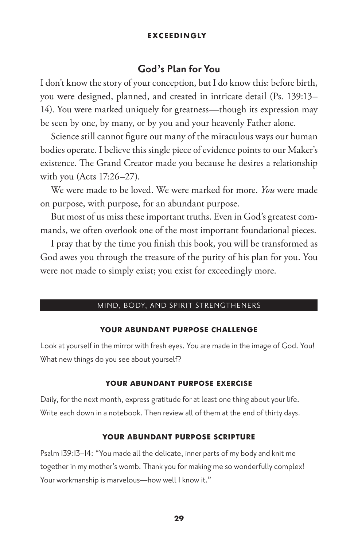## **EXCEED INGLY**

## **God's Plan for You**

I don't know the story of your conception, but I do know this: before birth, you were designed, planned, and created in intricate detail (Ps. 139:13– 14). You were marked uniquely for greatness—though its expression may be seen by one, by many, or by you and your heavenly Father alone.

Science still cannot figure out many of the miraculous ways our human bodies operate. I believe this single piece of evidence points to our Maker's existence. The Grand Creator made you because he desires a relationship with you (Acts 17:26–27).

We were made to be loved. We were marked for more. *You* were made on purpose, with purpose, for an abundant purpose.

But most of us miss these important truths. Even in God's greatest commands, we often overlook one of the most important foundational pieces.

I pray that by the time you finish this book, you will be transformed as God awes you through the treasure of the purity of his plan for you. You were not made to simply exist; you exist for exceedingly more.

#### MIND, BODY, AND SPIRIT STRENGTHENERS

## **YOUR ABUNDANT PURPOSE CHALLENGE**

Look at yourself in the mirror with fresh eyes. You are made in the image of God. You! What new things do you see about yourself?

#### **YOUR ABUNDANT PURPOSE EXERCISE**

Daily, for the next month, express gratitude for at least one thing about your life. Write each down in a notebook. Then review all of them at the end of thirty days.

#### **YOUR ABUNDANT PURPOSE SCRIPTURE**

Psalm 139:13–14: "You made all the delicate, inner parts of my body and knit me together in my mother's womb. Thank you for making me so wonderfully complex! Your workmanship is marvelous-how well I know it."